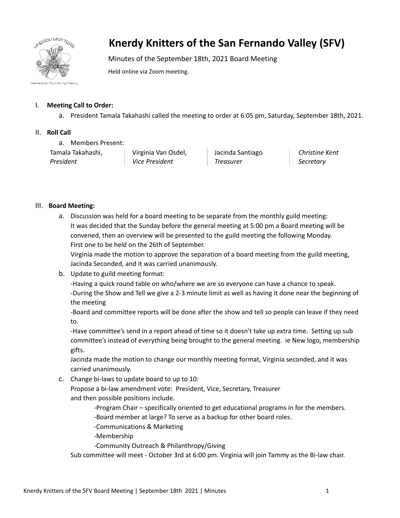

## **Knerdy Knitters of the San Fernando Valley (SFV)**

Minutes of the September 18th, 2021 Board Meeting

Held online via Zoom meeting.

## I. **Meeting Call to Order:**

a. President Tamala Takahashi called the meeting to order at 6:05 pm, Saturday, September 18th, 2021.

## II. **Roll Call**

a. Members Present:

Tamala Takahashi, *President*

Virginia Van Osdel, *Vice President*

Jacinda Santiago *Treasurer*

*Christine Kent Secretary*

## III. **Board Meeting:**

a. Discussion was held for a board meeting to be separate from the monthly guild meeting: It was decided that the Sunday before the general meeting at 5:00 pm a Board meeting will be convened, then an overview will be presented to the guild meeting the following Monday. First one to be held on the 26th of September.

Virginia made the motion to approve the separation of a board meeting from the guild meeting, Jacinda Seconded, and it was carried unanimously.

b. Update to guild meeting format:

-Having a quick round table on who/where we are so everyone can have a chance to speak. -During the Show and Tell we give a 2-3 minute limit as well as having it done near the beginning of the meeting

-Board and committee reports will be done after the show and tell so people can leave if they need to.

-Have committee's send in a report ahead of time so it doesn't take up extra time. Setting up sub committee's instead of everything being brought to the general meeting. ie New logo, membership gifts.

Jacinda made the motion to change our monthly meeting format, Virginia seconded, and it was carried unanimously.

c. Change bi-laws to update board to up to 10:

Propose a bi-law amendment vote: President, Vice, Secretary, Treasurer and then possible positions include.

-Program Chair – specifically oriented to get educational programs in for the members.

-Board member at large? To serve as a backup for other board roles.

-Communications & Marketing

-Membership

-Community Outreach & Philanthropy/Giving

Sub committee will meet - October 3rd at 6:00 pm. Virginia will join Tammy as the Bi-law chair.